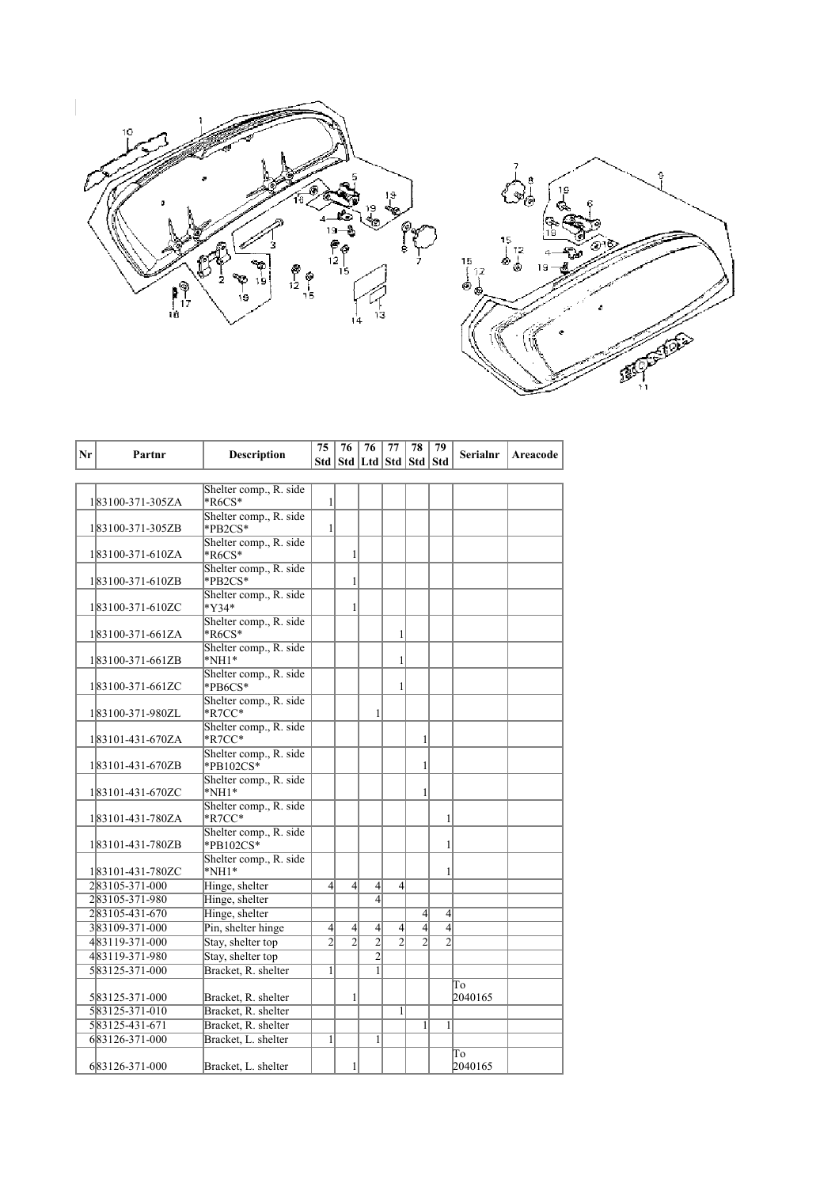



|    |                                  |                                            | 75               | 76             | 76                                | 77               | 78             | 79             |          |          |
|----|----------------------------------|--------------------------------------------|------------------|----------------|-----------------------------------|------------------|----------------|----------------|----------|----------|
| Nr | Partnr                           | <b>Description</b>                         |                  |                | Std   Std   Ltd   Std   Std   Std |                  |                |                | Serialnr | Areacode |
|    |                                  |                                            |                  |                |                                   |                  |                |                |          |          |
|    |                                  | Shelter comp., R. side                     |                  |                |                                   |                  |                |                |          |          |
|    | 183100-371-305ZA                 | $*$ R6CS $*$                               | $\mathbf{1}$     |                |                                   |                  |                |                |          |          |
|    |                                  | Shelter comp., R. side                     |                  |                |                                   |                  |                |                |          |          |
|    | 183100-371-305ZB                 | *PB2CS*                                    | 1                |                |                                   |                  |                |                |          |          |
|    | 183100-371-610ZA                 | Shelter comp., R. side<br>$*R6CS*$         |                  | 1              |                                   |                  |                |                |          |          |
|    |                                  | Shelter comp., R. side                     |                  |                |                                   |                  |                |                |          |          |
|    | 183100-371-610ZB                 | *PB2CS*                                    |                  | 1              |                                   |                  |                |                |          |          |
|    |                                  | Shelter comp., R. side                     |                  |                |                                   |                  |                |                |          |          |
|    | 183100-371-610ZC                 | $*$ Y34 $*$                                |                  | 1              |                                   |                  |                |                |          |          |
|    |                                  | Shelter comp., R. side                     |                  |                |                                   |                  |                |                |          |          |
|    | 183100-371-661ZA                 | $*$ R6CS $*$                               |                  |                |                                   | 1                |                |                |          |          |
|    |                                  | Shelter comp., R. side                     |                  |                |                                   |                  |                |                |          |          |
|    | 183100-371-661ZB                 | $*NH1*$                                    |                  |                |                                   | 1                |                |                |          |          |
|    | 183100-371-661ZC                 | Shelter comp., R. side<br>$*PBCS*$         |                  |                |                                   | 1                |                |                |          |          |
|    |                                  | Shelter comp., R. side                     |                  |                |                                   |                  |                |                |          |          |
|    | 183100-371-980ZL                 | $*$ R7CC $*$                               |                  |                | 1                                 |                  |                |                |          |          |
|    |                                  | Shelter comp., R. side                     |                  |                |                                   |                  |                |                |          |          |
|    | 183101-431-670ZA                 | $*$ R7CC $*$                               |                  |                |                                   |                  | 1              |                |          |          |
|    |                                  | Shelter comp., R. side                     |                  |                |                                   |                  |                |                |          |          |
|    | 183101-431-670ZB                 | $*$ PB102CS $*$                            |                  |                |                                   |                  | 1              |                |          |          |
|    |                                  | Shelter comp., R. side                     |                  |                |                                   |                  |                |                |          |          |
|    | 183101-431-670ZC                 | $*NH1*$<br>Shelter comp., R. side          |                  |                |                                   |                  | 1              |                |          |          |
|    | 183101-431-780ZA                 | $*$ R7CC $*$                               |                  |                |                                   |                  |                | 1              |          |          |
|    |                                  | Shelter comp., R. side                     |                  |                |                                   |                  |                |                |          |          |
|    | 183101-431-780ZB                 | $*$ PB102CS $*$                            |                  |                |                                   |                  |                | 1              |          |          |
|    |                                  | Shelter comp., R. side                     |                  |                |                                   |                  |                |                |          |          |
|    | 183101-431-780ZC                 | $*$ NH1 $*$                                |                  |                |                                   |                  |                | 1              |          |          |
|    | 283105-371-000                   | Hinge, shelter                             | $\left 4\right $ | $\overline{4}$ | $\overline{4}$                    | $\left 4\right $ |                |                |          |          |
|    | 283105-371-980                   | Hinge, shelter                             |                  |                | $\overline{4}$                    |                  |                |                |          |          |
|    | 283105-431-670                   | Hinge, shelter                             |                  |                |                                   |                  | $\overline{4}$ | $\overline{4}$ |          |          |
|    | 383109-371-000                   | Pin, shelter hinge                         | $\left 4\right $ | $\overline{4}$ | $\overline{4}$                    | $\left 4\right $ | $\overline{4}$ | $\overline{4}$ |          |          |
|    | 483119-371-000                   | Stay, shelter top                          | $\overline{2}$   | $\overline{2}$ | $\overline{2}$                    | $\overline{2}$   | $\overline{c}$ | $\overline{2}$ |          |          |
|    | 483119-371-980                   | Stay, shelter top                          |                  |                | $\overline{2}$                    |                  |                |                |          |          |
|    | 583125-371-000                   | Bracket, R. shelter                        | $\mathbf{1}$     |                | 1                                 |                  |                |                |          |          |
|    |                                  |                                            |                  | 1              |                                   |                  |                |                | To       |          |
|    | 583125-371-000<br>583125-371-010 | Bracket, R. shelter<br>Bracket, R. shelter |                  |                |                                   | $\mathbf{1}$     |                |                | 2040165  |          |
|    | 583125-431-671                   | Bracket, R. shelter                        |                  |                |                                   |                  | $\mathbf{1}$   | 1              |          |          |
|    | 683126-371-000                   | Bracket, L. shelter                        | $\mathbf{1}$     |                | 1                                 |                  |                |                |          |          |
|    |                                  |                                            |                  |                |                                   |                  |                |                | To       |          |
|    | 683126-371-000                   | Bracket, L. shelter                        |                  | 1              |                                   |                  |                |                | 2040165  |          |